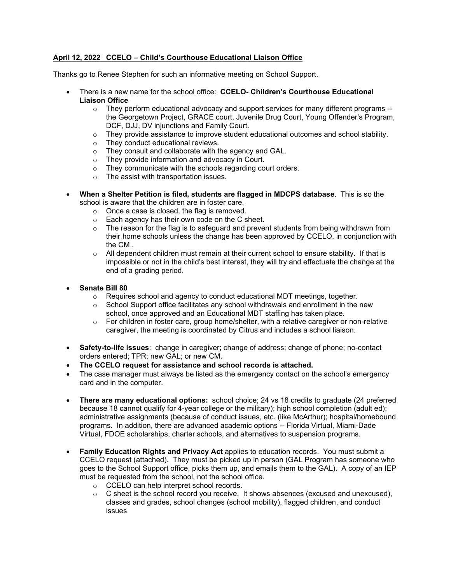#### **April 12, 2022 CCELO – Child's Courthouse Educational Liaison Office**

Thanks go to Renee Stephen for such an informative meeting on School Support.

- There is a new name for the school office: **CCELO- Children's Courthouse Educational Liaison Office**
	- $\circ$  They perform educational advocacy and support services for many different programs  $$ the Georgetown Project, GRACE court, Juvenile Drug Court, Young Offender's Program, DCF, DJJ, DV injunctions and Family Court.
	- $\circ$  They provide assistance to improve student educational outcomes and school stability.
	- $\circ$  They conduct educational reviews.<br>  $\circ$  They consult and collaborate with the
	- They consult and collaborate with the agency and GAL.
	- o They provide information and advocacy in Court.
	- o They communicate with the schools regarding court orders.
	- o The assist with transportation issues.
- **When a Shelter Petition is filed, students are flagged in MDCPS database**. This is so the school is aware that the children are in foster care.
	- o Once a case is closed, the flag is removed.
	- o Each agency has their own code on the C sheet.
	- $\circ$  The reason for the flag is to safeguard and prevent students from being withdrawn from their home schools unless the change has been approved by CCELO, in conjunction with the CM .
	- $\circ$  All dependent children must remain at their current school to ensure stability. If that is impossible or not in the child's best interest, they will try and effectuate the change at the end of a grading period.
- **Senate Bill 80**
	- $\circ$  Requires school and agency to conduct educational MDT meetings, together.
	- $\circ$  School Support office facilitates any school withdrawals and enrollment in the new school, once approved and an Educational MDT staffing has taken place.
	- $\circ$  For children in foster care, group home/shelter, with a relative caregiver or non-relative caregiver, the meeting is coordinated by Citrus and includes a school liaison.
- **Safety-to-life issues**: change in caregiver; change of address; change of phone; no-contact orders entered; TPR; new GAL; or new CM.
- **The CCELO request for assistance and school records is attached.**
- The case manager must always be listed as the emergency contact on the school's emergency card and in the computer.
- **There are many educational options:** school choice; 24 vs 18 credits to graduate (24 preferred because 18 cannot qualify for 4-year college or the military); high school completion (adult ed); administrative assignments (because of conduct issues, etc. (like McArthur); hospital/homebound programs. In addition, there are advanced academic options -- Florida Virtual, Miami-Dade Virtual, FDOE scholarships, charter schools, and alternatives to suspension programs.
- **Family Education Rights and Privacy Act** applies to education records. You must submit a CCELO request (attached). They must be picked up in person (GAL Program has someone who goes to the School Support office, picks them up, and emails them to the GAL). A copy of an IEP must be requested from the school, not the school office.
	- o CCELO can help interpret school records.
	- $\circ$  C sheet is the school record you receive. It shows absences (excused and unexcused), classes and grades, school changes (school mobility), flagged children, and conduct issues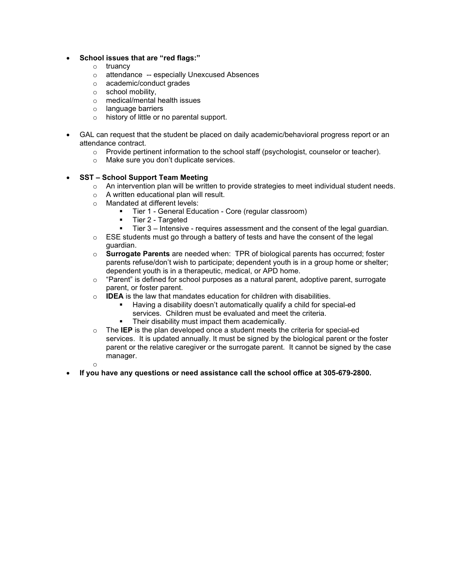- **School issues that are "red flags:"**
	- o truancy
	- o attendance -- especially Unexcused Absences
	- o academic/conduct grades
	- o school mobility,
	- o medical/mental health issues
	- o language barriers
	- o history of little or no parental support.
- GAL can request that the student be placed on daily academic/behavioral progress report or an attendance contract.
	- o Provide pertinent information to the school staff (psychologist, counselor or teacher).
	- o Make sure you don't duplicate services.

#### • **SST – School Support Team Meeting**

- o An intervention plan will be written to provide strategies to meet individual student needs.
- o A written educational plan will result.
- o Mandated at different levels:
	- Tier 1 General Education Core (regular classroom)<br>■ Tier 2 Targeted
	- § Tier 2 Targeted
	- Tier 3 Intensive requires assessment and the consent of the legal guardian.
- $\circ$  ESE students must go through a battery of tests and have the consent of the legal guardian.
- o **Surrogate Parents** are needed when: TPR of biological parents has occurred; foster parents refuse/don't wish to participate; dependent youth is in a group home or shelter; dependent youth is in a therapeutic, medical, or APD home.
- o "Parent" is defined for school purposes as a natural parent, adoptive parent, surrogate parent, or foster parent.
- o **IDEA** is the law that mandates education for children with disabilities.
	- § Having a disability doesn't automatically qualify a child for special-ed services. Children must be evaluated and meet the criteria.
	- Their disability must impact them academically.
- o The **IEP** is the plan developed once a student meets the criteria for special-ed services. It is updated annually. It must be signed by the biological parent or the foster parent or the relative caregiver or the surrogate parent. It cannot be signed by the case manager.
- o
- **If you have any questions or need assistance call the school office at 305-679-2800.**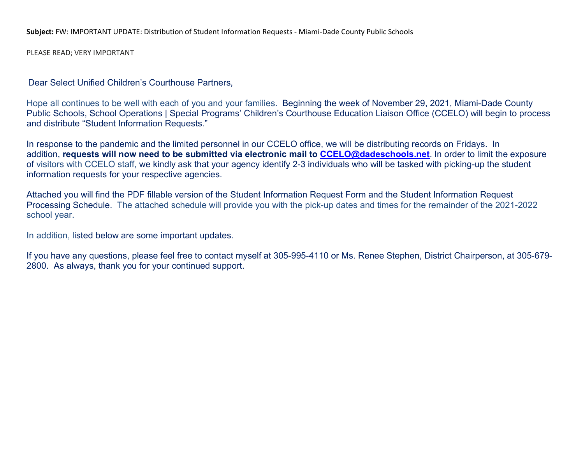**Subject:** FW: IMPORTANT UPDATE: Distribution of Student Information Requests - Miami-Dade County Public Schools

PLEASE READ; VERY IMPORTANT

Dear Select Unified Children's Courthouse Partners,

Hope all continues to be well with each of you and your families. Beginning the week of November 29, 2021, Miami-Dade County Public Schools, School Operations | Special Programs' Children's Courthouse Education Liaison Office (CCELO) will begin to process and distribute "Student Information Requests."

In response to the pandemic and the limited personnel in our CCELO office, we will be distributing records on Fridays. In addition, **requests will now need to be submitted via electronic mail to CCELO@dadeschools.net**. In order to limit the exposure of visitors with CCELO staff, we kindly ask that your agency identify 2-3 individuals who will be tasked with picking-up the student information requests for your respective agencies.

Attached you will find the PDF fillable version of the Student Information Request Form and the Student Information Request Processing Schedule. The attached schedule will provide you with the pick-up dates and times for the remainder of the 2021-2022 school year.

In addition, listed below are some important updates.

If you have any questions, please feel free to contact myself at 305-995-4110 or Ms. Renee Stephen, District Chairperson, at 305-679- 2800. As always, thank you for your continued support.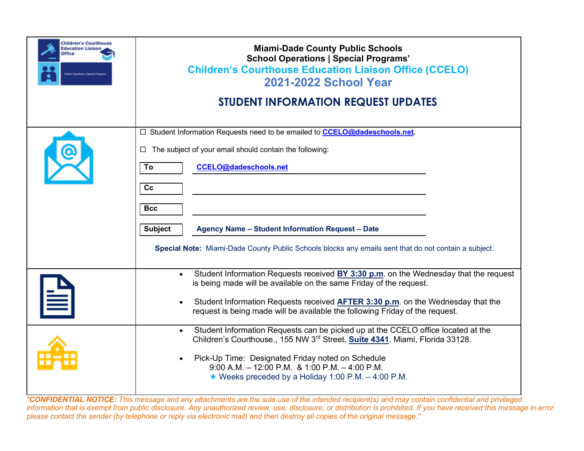| <b>Children's Courthouse</b><br><b>Education Liaison</b><br>Office | <b>Miami-Dade County Public Schools</b><br><b>School Operations   Special Programs'</b><br><b>Children's Courthouse Education Liaison Office (CCELO)</b><br>2021-2022 School Year                                                                                                                                                                                                                                                                  |  |  |  |  |  |  |
|--------------------------------------------------------------------|----------------------------------------------------------------------------------------------------------------------------------------------------------------------------------------------------------------------------------------------------------------------------------------------------------------------------------------------------------------------------------------------------------------------------------------------------|--|--|--|--|--|--|
|                                                                    | <b>STUDENT INFORMATION REQUEST UPDATES</b>                                                                                                                                                                                                                                                                                                                                                                                                         |  |  |  |  |  |  |
|                                                                    | □ Student Information Requests need to be emailed to <b>CCELO@dadeschools.net</b> .<br>The subject of your email should contain the following:<br>$\Box$<br>To<br><b>CCELO@dadeschools.net</b><br>cc<br><b>Bcc</b><br><b>Subject</b><br>Agency Name - Student Information Request - Date<br>Special Note: Miami-Dade County Public Schools blocks any emails sent that do not contain a subject.                                                   |  |  |  |  |  |  |
|                                                                    | Student Information Requests received BY 3:30 p.m. on the Wednesday that the request<br>$\bullet$<br>is being made will be available on the same Friday of the request.<br>Student Information Requests received <b>AFTER 3:30 p.m.</b> on the Wednesday that the<br>request is being made will be available the following Friday of the request.<br>Student Information Requests can be picked up at the CCELO office located at the<br>$\bullet$ |  |  |  |  |  |  |
|                                                                    | Children's Courthouse., 155 NW 3rd Street, Suite 4341, Miami, Florida 33128.<br>Pick-Up Time: Designated Friday noted on Schedule<br>$9:00$ A.M. $-12:00$ P.M. & 1:00 P.M. $-4:00$ P.M.<br>★ Weeks preceded by a Holiday 1:00 P.M. $-$ 4:00 P.M.                                                                                                                                                                                                   |  |  |  |  |  |  |

"CONFIDENTIAL NOTICE: This message and any attachments are the sole use of the intended recipient(s) and may contain confidential and privileged information that is exempt from public disclosure. Any unauthorized review, use, disclosure, or distribution is prohibited. If you have received this message in error please contact the sender (by telephone or reply via electronic mail) and then destroy all copies of the original message."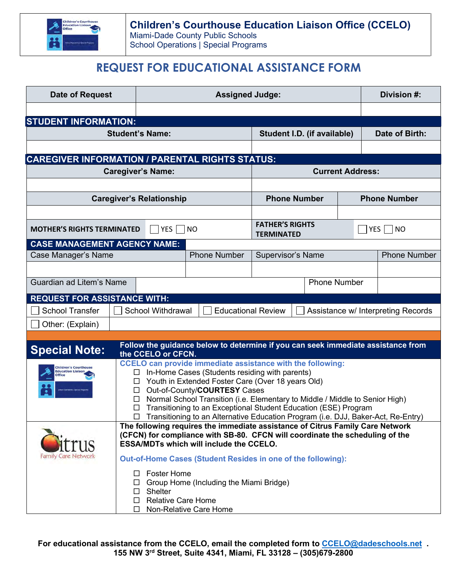

# **REQUEST FOR EDUCATIONAL ASSISTANCE FORM**

| <b>Date of Request</b>                                       |                                                                                                                                                               | <b>Assigned Judge:</b>   |                                                |                                                                 |                          |                          | Division #:         |
|--------------------------------------------------------------|---------------------------------------------------------------------------------------------------------------------------------------------------------------|--------------------------|------------------------------------------------|-----------------------------------------------------------------|--------------------------|--------------------------|---------------------|
|                                                              |                                                                                                                                                               |                          |                                                |                                                                 |                          |                          |                     |
| <b>STUDENT INFORMATION:</b>                                  |                                                                                                                                                               |                          |                                                |                                                                 |                          |                          |                     |
| <b>Student's Name:</b>                                       |                                                                                                                                                               |                          | Student I.D. (if available)                    |                                                                 |                          | Date of Birth:           |                     |
|                                                              |                                                                                                                                                               |                          |                                                |                                                                 |                          |                          |                     |
| <b>CAREGIVER INFORMATION / PARENTAL RIGHTS STATUS:</b>       |                                                                                                                                                               |                          |                                                |                                                                 |                          |                          |                     |
| <b>Caregiver's Name:</b>                                     |                                                                                                                                                               |                          | <b>Current Address:</b>                        |                                                                 |                          |                          |                     |
|                                                              |                                                                                                                                                               |                          |                                                |                                                                 |                          |                          |                     |
| <b>Caregiver's Relationship</b>                              |                                                                                                                                                               |                          |                                                | <b>Phone Number</b>                                             |                          |                          | <b>Phone Number</b> |
|                                                              |                                                                                                                                                               |                          |                                                |                                                                 |                          |                          |                     |
| <b>YES</b><br><b>MOTHER'S RIGHTS TERMINATED</b><br><b>NO</b> |                                                                                                                                                               |                          | <b>FATHER'S RIGHTS</b><br><b>TERMINATED</b>    |                                                                 |                          | $ $ YES $ $<br><b>NO</b> |                     |
| <b>CASE MANAGEMENT AGENCY NAME:</b>                          |                                                                                                                                                               |                          |                                                |                                                                 |                          |                          |                     |
| Case Manager's Name                                          |                                                                                                                                                               |                          | <b>Phone Number</b>                            |                                                                 | <b>Supervisor's Name</b> |                          | <b>Phone Number</b> |
|                                                              |                                                                                                                                                               |                          |                                                |                                                                 |                          |                          |                     |
| Guardian ad Litem's Name                                     |                                                                                                                                                               |                          | <b>Phone Number</b>                            |                                                                 |                          |                          |                     |
| <b>REQUEST FOR ASSISTANCE WITH:</b>                          |                                                                                                                                                               |                          |                                                |                                                                 |                          |                          |                     |
| <b>School Transfer</b>                                       |                                                                                                                                                               | <b>School Withdrawal</b> |                                                | <b>Educational Review</b><br>Assistance w/ Interpreting Records |                          |                          |                     |
| Other: (Explain)                                             |                                                                                                                                                               |                          |                                                |                                                                 |                          |                          |                     |
|                                                              |                                                                                                                                                               |                          |                                                |                                                                 |                          |                          |                     |
| <b>Special Note:</b>                                         | Follow the guidance below to determine if you can seek immediate assistance from<br>the CCELO or CFCN.                                                        |                          |                                                |                                                                 |                          |                          |                     |
| <b>Children's Courthouse</b>                                 | <b>CCELO can provide immediate assistance with the following:</b>                                                                                             |                          |                                                |                                                                 |                          |                          |                     |
| <b>Education Liaison</b><br><b>Office</b>                    |                                                                                                                                                               | $\Box$                   | In-Home Cases (Students residing with parents) |                                                                 |                          |                          |                     |
|                                                              | Youth in Extended Foster Care (Over 18 years Old)<br>$\Box$<br>Out-of-County/COURTESY Cases<br>$\Box$                                                         |                          |                                                |                                                                 |                          |                          |                     |
|                                                              | Normal School Transition (i.e. Elementary to Middle / Middle to Senior High)<br>$\Box$                                                                        |                          |                                                |                                                                 |                          |                          |                     |
|                                                              | Transitioning to an Exceptional Student Education (ESE) Program<br>□<br>□ Transitioning to an Alternative Education Program (i.e. DJJ, Baker-Act, Re-Entry)   |                          |                                                |                                                                 |                          |                          |                     |
|                                                              |                                                                                                                                                               |                          |                                                |                                                                 |                          |                          |                     |
|                                                              | The following requires the immediate assistance of Citrus Family Care Network<br>(CFCN) for compliance with SB-80. CFCN will coordinate the scheduling of the |                          |                                                |                                                                 |                          |                          |                     |
|                                                              | <b>ESSA/MDTs which will include the CCELO.</b>                                                                                                                |                          |                                                |                                                                 |                          |                          |                     |
| Family Care Network                                          | Out-of-Home Cases (Student Resides in one of the following):                                                                                                  |                          |                                                |                                                                 |                          |                          |                     |
|                                                              | <b>Foster Home</b><br>Ш                                                                                                                                       |                          |                                                |                                                                 |                          |                          |                     |
|                                                              | Group Home (Including the Miami Bridge)<br>Ш                                                                                                                  |                          |                                                |                                                                 |                          |                          |                     |
|                                                              | Shelter<br>$\Box$<br><b>Relative Care Home</b><br>$\Box$                                                                                                      |                          |                                                |                                                                 |                          |                          |                     |
| Non-Relative Care Home<br>□                                  |                                                                                                                                                               |                          |                                                |                                                                 |                          |                          |                     |

**For educational assistance from the CCELO, email the completed form to [CCELO@dadeschools.net](mailto:CCELO@dadeschools.net) . 155 NW 3rd Street, Suite 4341, Miami, FL 33128 – (305)679-2800**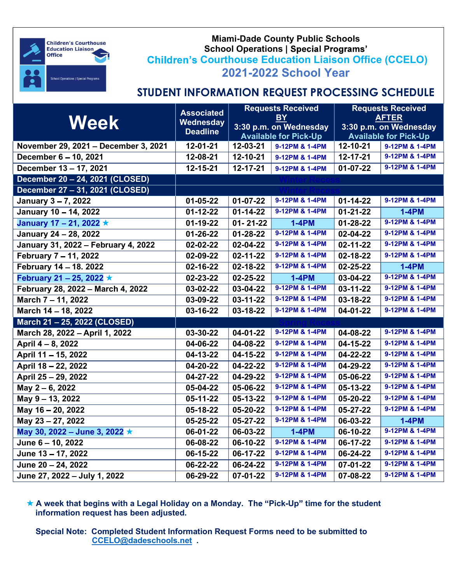

### Miami-Dade County Public Schools School Operations | Special Progra **Children's Courthouse Education Liaison Office (CCELO)** 2021-2022 School Year

# STUDENT INFORMATION REQUEST PROCESSING SCHEDULE

| <b>Week</b>                          | <b>Associated</b><br>Wednesday<br><b>Deadline</b> | <b>Requests Received</b><br><b>BY</b><br>3:30 p.m. on Wednesday<br><b>Available for Pick-Up</b> |                | <b>Requests Received</b><br><b>AFTER</b><br>3:30 p.m. on Wednesday<br><b>Available for Pick-Up</b> |                |
|--------------------------------------|---------------------------------------------------|-------------------------------------------------------------------------------------------------|----------------|----------------------------------------------------------------------------------------------------|----------------|
| November 29, 2021 - December 3, 2021 | 12-01-21                                          | 12-03-21                                                                                        | 9-12PM & 1-4PM | 12-10-21                                                                                           | 9-12PM & 1-4PM |
| December 6 - 10, 2021                | 12-08-21                                          | 12-10-21                                                                                        | 9-12PM & 1-4PM | 12-17-21                                                                                           | 9-12PM & 1-4PM |
| December 13 - 17, 2021               | 12-15-21                                          | 12-17-21                                                                                        | 9-12PM & 1-4PM | $01-07-22$                                                                                         | 9-12PM & 1-4PM |
| December 20 - 24, 2021 (CLOSED)      |                                                   |                                                                                                 |                |                                                                                                    |                |
| December 27 - 31, 2021 (CLOSED)      |                                                   |                                                                                                 |                |                                                                                                    |                |
| January 3-7, 2022                    | 01-05-22                                          | $01 - 07 - 22$                                                                                  | 9-12PM & 1-4PM | $01 - 14 - 22$                                                                                     | 9-12PM & 1-4PM |
| January 10 - 14, 2022                | $01 - 12 - 22$                                    | $01 - 14 - 22$                                                                                  | 9-12PM & 1-4PM | $01 - 21 - 22$                                                                                     | $1-4PM$        |
| January 17 – 21, 2022 $\star$        | 01-19-22                                          | $01 - 21 - 22$                                                                                  | <b>1-4PM</b>   | 01-28-22                                                                                           | 9-12PM & 1-4PM |
| January 24 - 28, 2022                | 01-26-22                                          | $01 - 28 - 22$                                                                                  | 9-12PM & 1-4PM | 02-04-22                                                                                           | 9-12PM & 1-4PM |
| January 31, 2022 - February 4, 2022  | 02-02-22                                          | 02-04-22                                                                                        | 9-12PM & 1-4PM | 02-11-22                                                                                           | 9-12PM & 1-4PM |
| February 7 - 11, 2022                | 02-09-22                                          | 02-11-22                                                                                        | 9-12PM & 1-4PM | 02-18-22                                                                                           | 9-12PM & 1-4PM |
| February 14 - 18. 2022               | 02-16-22                                          | 02-18-22                                                                                        | 9-12PM & 1-4PM | 02-25-22                                                                                           | <b>1-4PM</b>   |
| February 21 - 25, 2022 $\star$       | 02-23-22                                          | 02-25-22                                                                                        | <b>1-4PM</b>   | 03-04-22                                                                                           | 9-12PM & 1-4PM |
| February 28, 2022 - March 4, 2022    | 03-02-22                                          | 03-04-22                                                                                        | 9-12PM & 1-4PM | 03-11-22                                                                                           | 9-12PM & 1-4PM |
| March 7 - 11, 2022                   | 03-09-22                                          | $03 - 11 - 22$                                                                                  | 9-12PM & 1-4PM | 03-18-22                                                                                           | 9-12PM & 1-4PM |
| March 14 - 18, 2022                  | 03-16-22                                          | 03-18-22                                                                                        | 9-12PM & 1-4PM | 04-01-22                                                                                           | 9-12PM & 1-4PM |
| March 21 - 25, 2022 (CLOSED)         |                                                   |                                                                                                 |                |                                                                                                    |                |
| March 28, 2022 - April 1, 2022       | 03-30-22                                          | 04-01-22                                                                                        | 9-12PM & 1-4PM | 04-08-22                                                                                           | 9-12PM & 1-4PM |
| April 4 - 8, 2022                    | 04-06-22                                          | 04-08-22                                                                                        | 9-12PM & 1-4PM | 04-15-22                                                                                           | 9-12PM & 1-4PM |
| April 11 - 15, 2022                  | 04-13-22                                          | 04-15-22                                                                                        | 9-12PM & 1-4PM | 04-22-22                                                                                           | 9-12PM & 1-4PM |
| April 18 - 22, 2022                  | 04-20-22                                          | 04-22-22                                                                                        | 9-12PM & 1-4PM | 04-29-22                                                                                           | 9-12PM & 1-4PM |
| April 25 - 29, 2022                  | 04-27-22                                          | 04-29-22                                                                                        | 9-12PM & 1-4PM | 05-06-22                                                                                           | 9-12PM & 1-4PM |
| May 2 - 6, 2022                      | 05-04-22                                          | 05-06-22                                                                                        | 9-12PM & 1-4PM | 05-13-22                                                                                           | 9-12PM & 1-4PM |
| May 9 - 13, 2022                     | 05-11-22                                          | 05-13-22                                                                                        | 9-12PM & 1-4PM | 05-20-22                                                                                           | 9-12PM & 1-4PM |
| May 16 - 20, 2022                    | 05-18-22                                          | 05-20-22                                                                                        | 9-12PM & 1-4PM | 05-27-22                                                                                           | 9-12PM & 1-4PM |
| May 23 - 27, 2022                    | 05-25-22                                          | 05-27-22                                                                                        | 9-12PM & 1-4PM | 06-03-22                                                                                           | $1-4PM$        |
| May 30, 2022 – June 3, 2022 ★        | 06-01-22                                          | 06-03-22                                                                                        | <b>1-4PM</b>   | 06-10-22                                                                                           | 9-12PM & 1-4PM |
| June 6 - 10, 2022                    | 06-08-22                                          | 06-10-22                                                                                        | 9-12PM & 1-4PM | 06-17-22                                                                                           | 9-12PM & 1-4PM |
| June 13 - 17, 2022                   | 06-15-22                                          | 06-17-22                                                                                        | 9-12PM & 1-4PM | 06-24-22                                                                                           | 9-12PM & 1-4PM |
| June 20 - 24, 2022                   | 06-22-22                                          | 06-24-22                                                                                        | 9-12PM & 1-4PM | 07-01-22                                                                                           | 9-12PM & 1-4PM |
| June 27, 2022 - July 1, 2022         | 06-29-22                                          | 07-01-22                                                                                        | 9-12PM & 1-4PM | 07-08-22                                                                                           | 9-12PM & 1-4PM |

 $\star$  A week that begins with a Legal Holiday on a Monday. The "Pick-Up" time for the student information request has been adjusted.

Special Note: Completed Student Information Request Forms need to be submitted to CCELO@dadeschools.net .